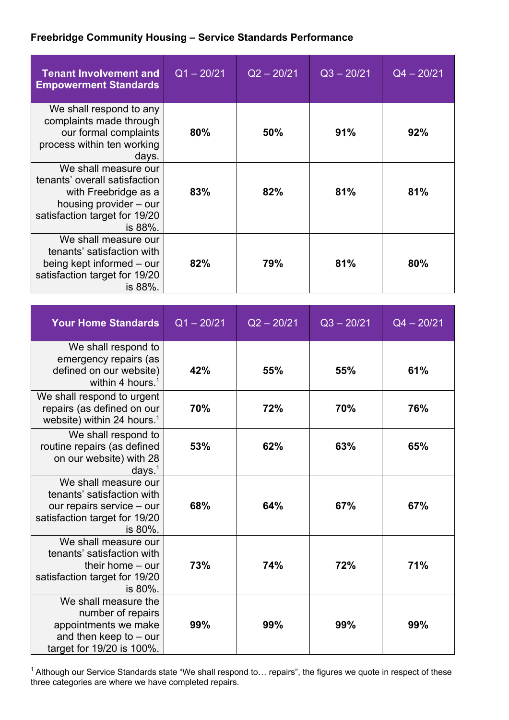## **Freebridge Community Housing – Service Standards Performance**

| <b>Tenant Involvement and</b><br><b>Empowerment Standards</b>                                                                                       | $Q1 - 20/21$ | $Q2 - 20/21$ | $Q3 - 20/21$ | $Q4 - 20/21$ |
|-----------------------------------------------------------------------------------------------------------------------------------------------------|--------------|--------------|--------------|--------------|
| We shall respond to any<br>complaints made through<br>our formal complaints<br>process within ten working<br>days.                                  | 80%          | 50%          | 91%          | 92%          |
| We shall measure our<br>tenants' overall satisfaction<br>with Freebridge as a<br>housing provider – our<br>satisfaction target for 19/20<br>is 88%. | 83%          | 82%          | 81%          | 81%          |
| We shall measure our<br>tenants' satisfaction with<br>being kept informed – our<br>satisfaction target for 19/20<br>is 88%.                         | 82%          | 79%          | 81%          | 80%          |

| <b>Your Home Standards</b>                                                                                                  | $Q1 - 20/21$ | $Q2 - 20/21$ | $Q3 - 20/21$ | $Q4 - 20/21$ |
|-----------------------------------------------------------------------------------------------------------------------------|--------------|--------------|--------------|--------------|
| We shall respond to<br>emergency repairs (as<br>defined on our website)<br>within 4 hours. $1$                              | 42%          | 55%          | 55%          | 61%          |
| We shall respond to urgent<br>repairs (as defined on our<br>website) within 24 hours. <sup>1</sup>                          | 70%          | 72%          | 70%          | 76%          |
| We shall respond to<br>routine repairs (as defined<br>on our website) with 28<br>days. $1$                                  | 53%          | 62%          | 63%          | 65%          |
| We shall measure our<br>tenants' satisfaction with<br>our repairs service - our<br>satisfaction target for 19/20<br>is 80%. | 68%          | 64%          | 67%          | 67%          |
| We shall measure our<br>tenants' satisfaction with<br>their home $-$ our<br>satisfaction target for 19/20<br>is 80%.        | 73%          | 74%          | 72%          | 71%          |
| We shall measure the<br>number of repairs<br>appointments we make<br>and then keep to $-$ our<br>target for 19/20 is 100%.  | 99%          | 99%          | 99%          | 99%          |

 $1$  Although our Service Standards state "We shall respond to... repairs", the figures we quote in respect of these three categories are where we have completed repairs.